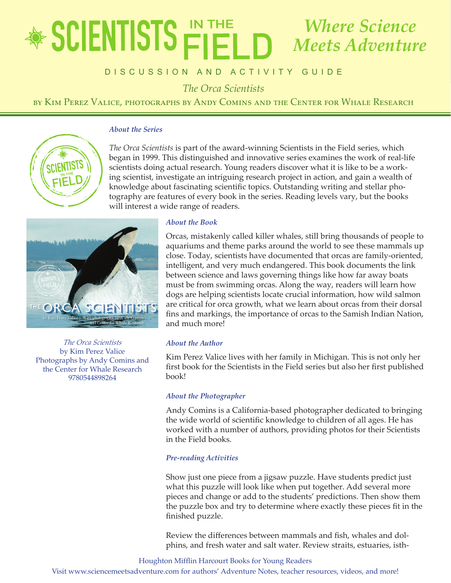# educator's Guide *The Orca Scientists* by Kim Perez Valice, photographs by Andy Comins and the Center for Whale Research *Where Science Meets Adventure*

## DISCUSSION AND ACTIVITY GUIDE

*The Orca Scientists*

by Kim Perez Valice, photographs by Andy Comins and the Center for Whale Research

## *About the Series*



*The Orca Scientists* is part of the award-winning Scientists in the Field series, which began in 1999. This distinguished and innovative series examines the work of real-life scientists doing actual research. Young readers discover what it is like to be a working scientist, investigate an intriguing research project in action, and gain a wealth of knowledge about fascinating scientific topics. Outstanding writing and stellar photography are features of every book in the series. Reading levels vary, but the books will interest a wide range of readers.



*The Orca Scientists* by Kim Perez Valice Photographs by Andy Comins and the Center for Whale Research 9780544898264

## *About the Book*

Orcas, mistakenly called killer whales, still bring thousands of people to aquariums and theme parks around the world to see these mammals up close. Today, scientists have documented that orcas are family-oriented, intelligent, and very much endangered. This book documents the link between science and laws governing things like how far away boats must be from swimming orcas. Along the way, readers will learn how dogs are helping scientists locate crucial information, how wild salmon are critical for orca growth, what we learn about orcas from their dorsal fins and markings, the importance of orcas to the Samish Indian Nation, and much more!

### *About the Author*

Kim Perez Valice lives with her family in Michigan. This is not only her first book for the Scientists in the Field series but also her first published book!

#### *About the Photographer*

Andy Comins is a California-based photographer dedicated to bringing the wide world of scientific knowledge to children of all ages. He has worked with a number of authors, providing photos for their Scientists in the Field books.

### *Pre-reading Activities*

Show just one piece from a jigsaw puzzle. Have students predict just what this puzzle will look like when put together. Add several more pieces and change or add to the students' predictions. Then show them the puzzle box and try to determine where exactly these pieces fit in the finished puzzle.

Review the differences between mammals and fish, whales and dolphins, and fresh water and salt water. Review straits, estuaries, isth-

Houghton Mifflin Harcourt Books for Young Readers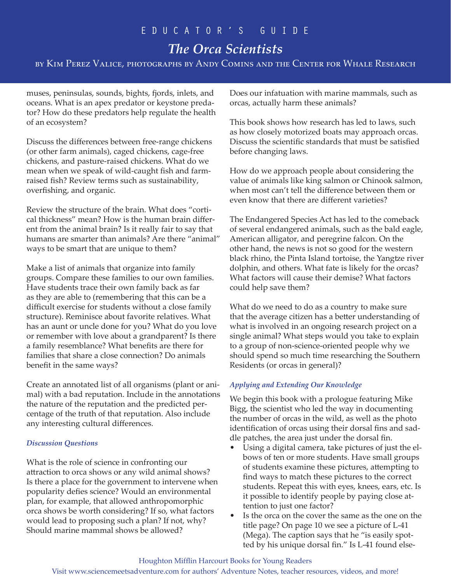# *The Orca Scientists*

by Kim Perez Valice, photographs by Andy Comins and the Center for Whale Research

muses, peninsulas, sounds, bights, fjords, inlets, and oceans. What is an apex predator or keystone predator? How do these predators help regulate the health of an ecosystem?

Discuss the differences between free-range chickens (or other farm animals), caged chickens, cage-free chickens, and pasture-raised chickens. What do we mean when we speak of wild-caught fish and farmraised fish? Review terms such as sustainability, overfishing, and organic.

Review the structure of the brain. What does "cortical thickness" mean? How is the human brain different from the animal brain? Is it really fair to say that humans are smarter than animals? Are there "animal" ways to be smart that are unique to them?

Make a list of animals that organize into family groups. Compare these families to our own families. Have students trace their own family back as far as they are able to (remembering that this can be a difficult exercise for students without a close family structure). Reminisce about favorite relatives. What has an aunt or uncle done for you? What do you love or remember with love about a grandparent? Is there a family resemblance? What benefits are there for families that share a close connection? Do animals benefit in the same ways?

Create an annotated list of all organisms (plant or animal) with a bad reputation. Include in the annotations the nature of the reputation and the predicted percentage of the truth of that reputation. Also include any interesting cultural differences.

### *Discussion Questions*

What is the role of science in confronting our attraction to orca shows or any wild animal shows? Is there a place for the government to intervene when popularity defies science? Would an environmental plan, for example, that allowed anthropomorphic orca shows be worth considering? If so, what factors would lead to proposing such a plan? If not, why? Should marine mammal shows be allowed?

Does our infatuation with marine mammals, such as orcas, actually harm these animals?

This book shows how research has led to laws, such as how closely motorized boats may approach orcas. Discuss the scientific standards that must be satisfied before changing laws.

How do we approach people about considering the value of animals like king salmon or Chinook salmon, when most can't tell the difference between them or even know that there are different varieties?

The Endangered Species Act has led to the comeback of several endangered animals, such as the bald eagle, American alligator, and peregrine falcon. On the other hand, the news is not so good for the western black rhino, the Pinta Island tortoise, the Yangtze river dolphin, and others. What fate is likely for the orcas? What factors will cause their demise? What factors could help save them?

What do we need to do as a country to make sure that the average citizen has a better understanding of what is involved in an ongoing research project on a single animal? What steps would you take to explain to a group of non-science-oriented people why we should spend so much time researching the Southern Residents (or orcas in general)?

## *Applying and Extending Our Knowledge*

We begin this book with a prologue featuring Mike Bigg, the scientist who led the way in documenting the number of orcas in the wild, as well as the photo identification of orcas using their dorsal fins and saddle patches, the area just under the dorsal fin.

- Using a digital camera, take pictures of just the elbows of ten or more students. Have small groups of students examine these pictures, attempting to find ways to match these pictures to the correct students. Repeat this with eyes, knees, ears, etc. Is it possible to identify people by paying close attention to just one factor?
- Is the orca on the cover the same as the one on the title page? On page 10 we see a picture of L-41 (Mega). The caption says that he "is easily spotted by his unique dorsal fin." Is L-41 found else-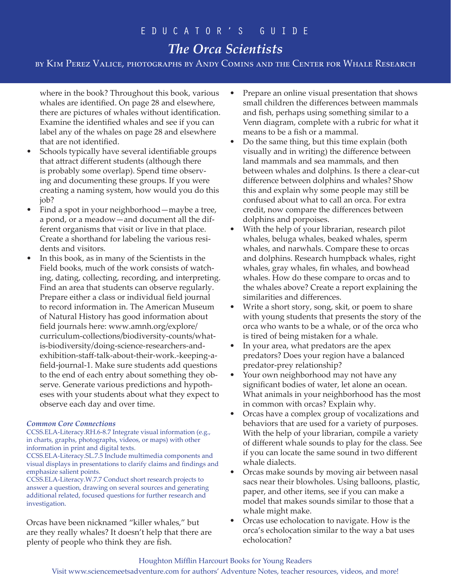# *The Orca Scientists*

by Kim Perez Valice, photographs by Andy Comins and the Center for Whale Research

where in the book? Throughout this book, various whales are identified. On page 28 and elsewhere, there are pictures of whales without identification. Examine the identified whales and see if you can label any of the whales on page 28 and elsewhere that are not identified.

- Schools typically have several identifiable groups that attract different students (although there is probably some overlap). Spend time observing and documenting these groups. If you were creating a naming system, how would you do this job?
- Find a spot in your neighborhood—maybe a tree, a pond, or a meadow—and document all the different organisms that visit or live in that place. Create a shorthand for labeling the various residents and visitors.
- In this book, as in many of the Scientists in the Field books, much of the work consists of watching, dating, collecting, recording, and interpreting. Find an area that students can observe regularly. Prepare either a class or individual field journal to record information in. The American Museum of Natural History has good information about field journals here: www.amnh.org/explore/ curriculum-collections/biodiversity-counts/whatis-biodiversity/doing-science-researchers-andexhibition-staff-talk-about-their-work.-keeping-afield-journal-1. Make sure students add questions to the end of each entry about something they observe. Generate various predictions and hypotheses with your students about what they expect to observe each day and over time.

### *Common Core Connections*

CCSS.ELA-Literacy.RH.6-8.7 Integrate visual information (e.g., in charts, graphs, photographs, videos, or maps) with other information in print and digital texts.

CCSS.ELA-Literacy.SL.7.5 Include multimedia components and visual displays in presentations to clarify claims and findings and emphasize salient points.

CCSS.ELA-Literacy.W.7.7 Conduct short research projects to answer a question, drawing on several sources and generating additional related, focused questions for further research and investigation.

Orcas have been nicknamed "killer whales," but are they really whales? It doesn't help that there are plenty of people who think they are fish.

- Prepare an online visual presentation that shows small children the differences between mammals and fish, perhaps using something similar to a Venn diagram, complete with a rubric for what it means to be a fish or a mammal.
- Do the same thing, but this time explain (both visually and in writing) the difference between land mammals and sea mammals, and then between whales and dolphins. Is there a clear-cut difference between dolphins and whales? Show this and explain why some people may still be confused about what to call an orca. For extra credit, now compare the differences between dolphins and porpoises.
- With the help of your librarian, research pilot whales, beluga whales, beaked whales, sperm whales, and narwhals. Compare these to orcas and dolphins. Research humpback whales, right whales, gray whales, fin whales, and bowhead whales. How do these compare to orcas and to the whales above? Create a report explaining the similarities and differences.
- Write a short story, song, skit, or poem to share with young students that presents the story of the orca who wants to be a whale, or of the orca who is tired of being mistaken for a whale.
- In your area, what predators are the apex predators? Does your region have a balanced predator-prey relationship?
- Your own neighborhood may not have any significant bodies of water, let alone an ocean. What animals in your neighborhood has the most in common with orcas? Explain why.
- Orcas have a complex group of vocalizations and behaviors that are used for a variety of purposes. With the help of your librarian, compile a variety of different whale sounds to play for the class. See if you can locate the same sound in two different whale dialects.
- Orcas make sounds by moving air between nasal sacs near their blowholes. Using balloons, plastic, paper, and other items, see if you can make a model that makes sounds similar to those that a whale might make.
- Orcas use echolocation to navigate. How is the orca's echolocation similar to the way a bat uses echolocation?

## Houghton Mifflin Harcourt Books for Young Readers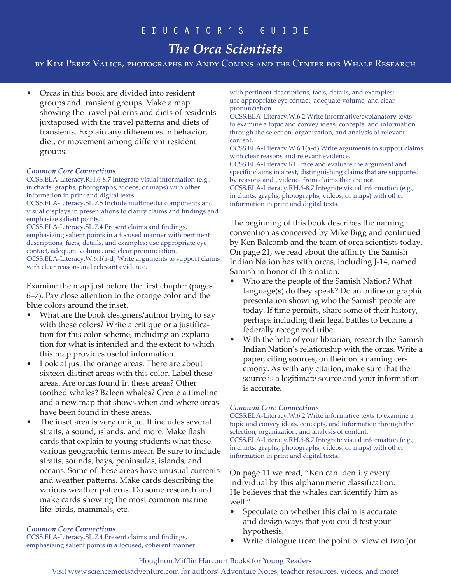# *The Orca Scientists*

by Kim Perez Valice, photographs by Andy Comins and the Center for Whale Research

• Orcas in this book are divided into resident groups and transient groups. Make a map showing the travel patterns and diets of residents juxtaposed with the travel patterns and diets of transients. Explain any differences in behavior, diet, or movement among different resident groups.

#### *Common Core Connections*

CCSS.ELA-Literacy.RH.6-8.7 Integrate visual information (e.g., in charts, graphs, photographs, videos, or maps) with other information in print and digital texts.

CCSS.ELA-Literacy.SL.7.5 Include multimedia components and visual displays in presentations to clarify claims and findings and emphasize salient points.

CCSS.ELA-Literacy.SL.7.4 Present claims and findings, emphasizing salient points in a focused manner with pertinent descriptions, facts, details, and examples; use appropriate eye contact, adequate volume, and clear pronunciation. CCSS.ELA-Literacy.W.6.1(a-d) Write arguments to support claims with clear reasons and relevant evidence.

Examine the map just before the first chapter (pages 6–7). Pay close attention to the orange color and the blue colors around the inset.

- What are the book designers/author trying to say with these colors? Write a critique or a justification for this color scheme, including an explanation for what is intended and the extent to which this map provides useful information.
- Look at just the orange areas. There are about sixteen distinct areas with this color. Label these areas. Are orcas found in these areas? Other toothed whales? Baleen whales? Create a timeline and a new map that shows when and where orcas have been found in these areas.
- The inset area is very unique. It includes several straits, a sound, islands, and more. Make flash cards that explain to young students what these various geographic terms mean. Be sure to include straits, sounds, bays, peninsulas, islands, and oceans. Some of these areas have unusual currents and weather patterns. Make cards describing the various weather patterns. Do some research and make cards showing the most common marine life: birds, mammals, etc.

#### *Common Core Connections*

CCSS.ELA-Literacy.SL.7.4 Present claims and findings, emphasizing salient points in a focused, coherent manner with pertinent descriptions, facts, details, and examples; use appropriate eye contact, adequate volume, and clear pronunciation.

CCSS.ELA-Literacy.W.6.2 Write informative/explanatory texts to examine a topic and convey ideas, concepts, and information through the selection, organization, and analysis of relevant content.

CCSS.ELA-Literacy.W.6.1(a-d) Write arguments to support claims with clear reasons and relevant evidence.

CCSS.ELA-Literacy.RI Trace and evaluate the argument and specific claims in a text, distinguishing claims that are supported by reasons and evidence from claims that are not. CCSS.ELA-Literacy.RH.6-8.7 Integrate visual information (e.g., in charts, graphs, photographs, videos, or maps) with other information in print and digital texts.

The beginning of this book describes the naming convention as conceived by Mike Bigg and continued by Ken Balcomb and the team of orca scientists today. On page 21, we read about the affinity the Samish Indian Nation has with orcas, including J-14, named Samish in honor of this nation.

- Who are the people of the Samish Nation? What language(s) do they speak? Do an online or graphic presentation showing who the Samish people are today. If time permits, share some of their history, perhaps including their legal battles to become a federally recognized tribe.
- With the help of your librarian, research the Samish Indian Nation's relationship with the orcas. Write a paper, citing sources, on their orca naming ceremony. As with any citation, make sure that the source is a legitimate source and your information is accurate.

#### *Common Core Connections*

CCSS.ELA-Literacy.W.6.2 Write informative texts to examine a topic and convey ideas, concepts, and information through the selection, organization, and analysis of content. CCSS.ELA-Literacy.RH.6-8.7 Integrate visual information (e.g., in charts, graphs, photographs, videos, or maps) with other information in print and digital texts.

On page 11 we read, "Ken can identify every individual by this alphanumeric classification. He believes that the whales can identify him as well."

- Speculate on whether this claim is accurate and design ways that you could test your hypothesis.
- Write dialogue from the point of view of two (or

#### Houghton Mifflin Harcourt Books for Young Readers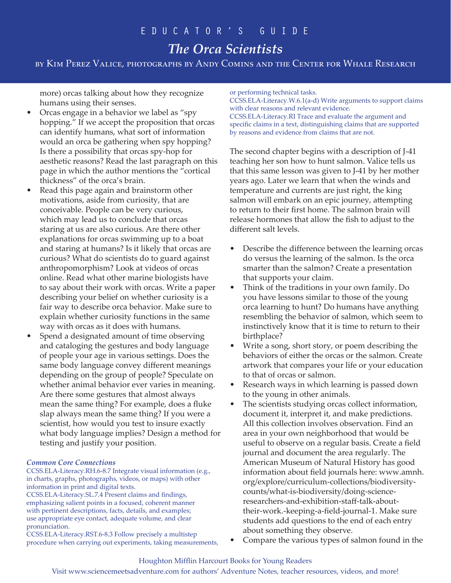# *The Orca Scientists*

by Kim Perez Valice, photographs by Andy Comins and the Center for Whale Research

more) orcas talking about how they recognize humans using their senses.

- Orcas engage in a behavior we label as "spy hopping." If we accept the proposition that orcas can identify humans, what sort of information would an orca be gathering when spy hopping? Is there a possibility that orcas spy-hop for aesthetic reasons? Read the last paragraph on this page in which the author mentions the "cortical thickness" of the orca's brain.
- Read this page again and brainstorm other motivations, aside from curiosity, that are conceivable. People can be very curious, which may lead us to conclude that orcas staring at us are also curious. Are there other explanations for orcas swimming up to a boat and staring at humans? Is it likely that orcas are curious? What do scientists do to guard against anthropomorphism? Look at videos of orcas online. Read what other marine biologists have to say about their work with orcas. Write a paper describing your belief on whether curiosity is a fair way to describe orca behavior. Make sure to explain whether curiosity functions in the same way with orcas as it does with humans.
- Spend a designated amount of time observing and cataloging the gestures and body language of people your age in various settings. Does the same body language convey different meanings depending on the group of people? Speculate on whether animal behavior ever varies in meaning. Are there some gestures that almost always mean the same thing? For example, does a fluke slap always mean the same thing? If you were a scientist, how would you test to insure exactly what body language implies? Design a method for testing and justify your position.

### *Common Core Connections*

CCSS.ELA-Literacy.RH.6-8.7 Integrate visual information (e.g., in charts, graphs, photographs, videos, or maps) with other information in print and digital texts.

CCSS.ELA-Literacy.SL.7.4 Present claims and findings, emphasizing salient points in a focused, coherent manner with pertinent descriptions, facts, details, and examples; use appropriate eye contact, adequate volume, and clear pronunciation.

CCSS.ELA-Literacy.RST.6-8.3 Follow precisely a multistep procedure when carrying out experiments, taking measurements, or performing technical tasks.

CCSS.ELA-Literacy.W.6.1(a-d) Write arguments to support claims with clear reasons and relevant evidence. CCSS.ELA-Literacy.RI Trace and evaluate the argument and specific claims in a text, distinguishing claims that are supported by reasons and evidence from claims that are not.

The second chapter begins with a description of J-41 teaching her son how to hunt salmon. Valice tells us that this same lesson was given to J-41 by her mother years ago. Later we learn that when the winds and temperature and currents are just right, the king salmon will embark on an epic journey, attempting to return to their first home. The salmon brain will release hormones that allow the fish to adjust to the different salt levels.

- Describe the difference between the learning orcas do versus the learning of the salmon. Is the orca smarter than the salmon? Create a presentation that supports your claim.
- Think of the traditions in your own family. Do you have lessons similar to those of the young orca learning to hunt? Do humans have anything resembling the behavior of salmon, which seem to instinctively know that it is time to return to their birthplace?
- Write a song, short story, or poem describing the behaviors of either the orcas or the salmon. Create artwork that compares your life or your education to that of orcas or salmon.
- Research ways in which learning is passed down to the young in other animals.
- The scientists studying orcas collect information, document it, interpret it, and make predictions. All this collection involves observation. Find an area in your own neighborhood that would be useful to observe on a regular basis. Create a field journal and document the area regularly. The American Museum of Natural History has good information about field journals here: www.amnh. org/explore/curriculum-collections/biodiversitycounts/what-is-biodiversity/doing-scienceresearchers-and-exhibition-staff-talk-abouttheir-work.-keeping-a-field-journal-1. Make sure students add questions to the end of each entry about something they observe.
- Compare the various types of salmon found in the

### Houghton Mifflin Harcourt Books for Young Readers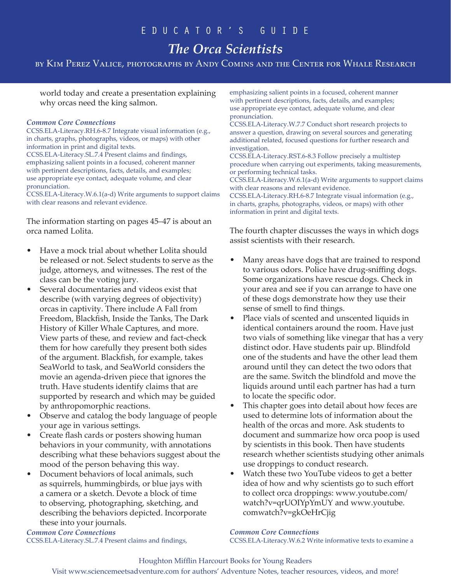# *The Orca Scientists*

by Kim Perez Valice, photographs by Andy Comins and the Center for Whale Research

world today and create a presentation explaining why orcas need the king salmon.

#### *Common Core Connections*

CCSS.ELA-Literacy.RH.6-8.7 Integrate visual information (e.g., in charts, graphs, photographs, videos, or maps) with other information in print and digital texts. CCSS.ELA-Literacy.SL.7.4 Present claims and findings, emphasizing salient points in a focused, coherent manner with pertinent descriptions, facts, details, and examples; use appropriate eye contact, adequate volume, and clear pronunciation.

CCSS.ELA-Literacy.W.6.1(a-d) Write arguments to support claims with clear reasons and relevant evidence.

The information starting on pages 45–47 is about an orca named Lolita.

- Have a mock trial about whether Lolita should be released or not. Select students to serve as the judge, attorneys, and witnesses. The rest of the class can be the voting jury.
- Several documentaries and videos exist that describe (with varying degrees of objectivity) orcas in captivity. There include A Fall from Freedom, Blackfish, Inside the Tanks, The Dark History of Killer Whale Captures, and more. View parts of these, and review and fact-check them for how carefully they present both sides of the argument. Blackfish, for example, takes SeaWorld to task, and SeaWorld considers the movie an agenda-driven piece that ignores the truth. Have students identify claims that are supported by research and which may be guided by anthropomorphic reactions.
- Observe and catalog the body language of people your age in various settings.
- Create flash cards or posters showing human behaviors in your community, with annotations describing what these behaviors suggest about the mood of the person behaving this way.
- Document behaviors of local animals, such as squirrels, hummingbirds, or blue jays with a camera or a sketch. Devote a block of time to observing, photographing, sketching, and describing the behaviors depicted. Incorporate these into your journals.

*Common Core Connections* CCSS.ELA-Literacy.SL.7.4 Present claims and findings, emphasizing salient points in a focused, coherent manner with pertinent descriptions, facts, details, and examples; use appropriate eye contact, adequate volume, and clear pronunciation.

CCSS.ELA-Literacy.W.7.7 Conduct short research projects to answer a question, drawing on several sources and generating additional related, focused questions for further research and investigation.

CCSS.ELA-Literacy.RST.6-8.3 Follow precisely a multistep procedure when carrying out experiments, taking measurements, or performing technical tasks.

CCSS.ELA-Literacy.W.6.1(a-d) Write arguments to support claims with clear reasons and relevant evidence.

CCSS.ELA-Literacy.RH.6-8.7 Integrate visual information (e.g., in charts, graphs, photographs, videos, or maps) with other information in print and digital texts.

The fourth chapter discusses the ways in which dogs assist scientists with their research.

- Many areas have dogs that are trained to respond to various odors. Police have drug-sniffing dogs. Some organizations have rescue dogs. Check in your area and see if you can arrange to have one of these dogs demonstrate how they use their sense of smell to find things.
- Place vials of scented and unscented liquids in identical containers around the room. Have just two vials of something like vinegar that has a very distinct odor. Have students pair up. Blindfold one of the students and have the other lead them around until they can detect the two odors that are the same. Switch the blindfold and move the liquids around until each partner has had a turn to locate the specific odor.
- This chapter goes into detail about how feces are used to determine lots of information about the health of the orcas and more. Ask students to document and summarize how orca poop is used by scientists in this book. Then have students research whether scientists studying other animals use droppings to conduct research.
- Watch these two YouTube videos to get a better idea of how and why scientists go to such effort to collect orca droppings: www.youtube.com/ watch?v=qrUOIYpYmUY and www.youtube. comwatch?v=gkOeHrCjig

*Common Core Connections* CCSS.ELA-Literacy.W.6.2 Write informative texts to examine a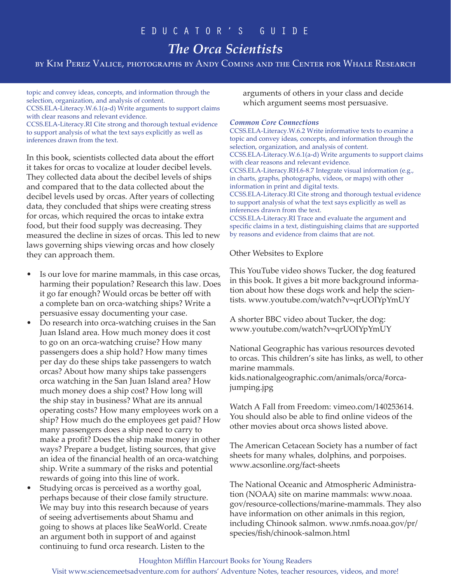# *The Orca Scientists*

by Kim Perez Valice, photographs by Andy Comins and the Center for Whale Research

topic and convey ideas, concepts, and information through the selection, organization, and analysis of content. CCSS.ELA-Literacy.W.6.1(a-d) Write arguments to support claims with clear reasons and relevant evidence. CCSS.ELA-Literacy.RI Cite strong and thorough textual evidence to support analysis of what the text says explicitly as well as inferences drawn from the text.

In this book, scientists collected data about the effort it takes for orcas to vocalize at louder decibel levels. They collected data about the decibel levels of ships and compared that to the data collected about the decibel levels used by orcas. After years of collecting data, they concluded that ships were creating stress for orcas, which required the orcas to intake extra food, but their food supply was decreasing. They measured the decline in sizes of orcas. This led to new laws governing ships viewing orcas and how closely they can approach them.

- Is our love for marine mammals, in this case orcas, harming their population? Research this law. Does it go far enough? Would orcas be better off with a complete ban on orca-watching ships? Write a persuasive essay documenting your case.
- Do research into orca-watching cruises in the San Juan Island area. How much money does it cost to go on an orca-watching cruise? How many passengers does a ship hold? How many times per day do these ships take passengers to watch orcas? About how many ships take passengers orca watching in the San Juan Island area? How much money does a ship cost? How long will the ship stay in business? What are its annual operating costs? How many employees work on a ship? How much do the employees get paid? How many passengers does a ship need to carry to make a profit? Does the ship make money in other ways? Prepare a budget, listing sources, that give an idea of the financial health of an orca-watching ship. Write a summary of the risks and potential rewards of going into this line of work.
- Studying orcas is perceived as a worthy goal, perhaps because of their close family structure. We may buy into this research because of years of seeing advertisements about Shamu and going to shows at places like SeaWorld. Create an argument both in support of and against continuing to fund orca research. Listen to the

arguments of others in your class and decide which argument seems most persuasive.

#### *Common Core Connections*

CCSS.ELA-Literacy.W.6.2 Write informative texts to examine a topic and convey ideas, concepts, and information through the selection, organization, and analysis of content. CCSS.ELA-Literacy.W.6.1(a-d) Write arguments to support claims with clear reasons and relevant evidence. CCSS.ELA-Literacy.RH.6-8.7 Integrate visual information (e.g., in charts, graphs, photographs, videos, or maps) with other information in print and digital texts. CCSS.ELA-Literacy.RI Cite strong and thorough textual evidence to support analysis of what the text says explicitly as well as inferences drawn from the text. CCSS.ELA-Literacy.RI Trace and evaluate the argument and specific claims in a text, distinguishing claims that are supported by reasons and evidence from claims that are not.

Other Websites to Explore

This YouTube video shows Tucker, the dog featured in this book. It gives a bit more background information about how these dogs work and help the scientists. www.youtube.com/watch?v=qrUOIYpYmUY

A shorter BBC video about Tucker, the dog: www.youtube.com/watch?v=qrUOIYpYmUY

National Geographic has various resources devoted to orcas. This children's site has links, as well, to other marine mammals.

kids.nationalgeographic.com/animals/orca/#orcajumping.jpg

Watch A Fall from Freedom: vimeo.com/140253614. You should also be able to find online videos of the other movies about orca shows listed above.

The American Cetacean Society has a number of fact sheets for many whales, dolphins, and porpoises. www.acsonline.org/fact-sheets

The National Oceanic and Atmospheric Administration (NOAA) site on marine mammals: www.noaa. gov/resource-collections/marine-mammals. They also have information on other animals in this region, including Chinook salmon. www.nmfs.noaa.gov/pr/ species/fish/chinook-salmon.html

#### Houghton Mifflin Harcourt Books for Young Readers